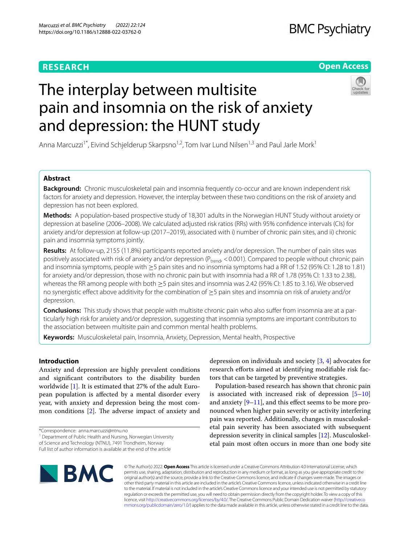# **RESEARCH**

# **Open Access**



# The interplay between multisite pain and insomnia on the risk of anxiety and depression: the HUNT study

Anna Marcuzzi<sup>1\*</sup>, Eivind Schjelderup Skarpsno<sup>1,2</sup>, Tom Ivar Lund Nilsen<sup>1,3</sup> and Paul Jarle Mork<sup>1</sup>

# **Abstract**

**Background:** Chronic musculoskeletal pain and insomnia frequently co-occur and are known independent risk factors for anxiety and depression. However, the interplay between these two conditions on the risk of anxiety and depression has not been explored.

**Methods:** A population-based prospective study of 18,301 adults in the Norwegian HUNT Study without anxiety or depression at baseline (2006–2008). We calculated adjusted risk ratios (RRs) with 95% confdence intervals (CIs) for anxiety and/or depression at follow-up (2017–2019), associated with i) number of chronic pain sites, and ii) chronic pain and insomnia symptoms jointly.

**Results:** At follow-up, 2155 (11.8%) participants reported anxiety and/or depression. The number of pain sites was positively associated with risk of anxiety and/or depression ( $P_{trend}$ , < 0.001). Compared to people without chronic pain and insomnia symptoms, people with ≥5 pain sites and no insomnia symptoms had a RR of 1.52 (95% CI: 1.28 to 1.81) for anxiety and/or depression, those with no chronic pain but with insomnia had a RR of 1.78 (95% CI: 1.33 to 2.38), whereas the RR among people with both ≥5 pain sites and insomnia was 2.42 (95% CI: 1.85 to 3.16). We observed no synergistic efect above additivity for the combination of ≥5 pain sites and insomnia on risk of anxiety and/or depression.

**Conclusions:** This study shows that people with multisite chronic pain who also sufer from insomnia are at a particularly high risk for anxiety and/or depression, suggesting that insomnia symptoms are important contributors to the association between multisite pain and common mental health problems.

**Keywords:** Musculoskeletal pain, Insomnia, Anxiety, Depression, Mental health, Prospective

# **Introduction**

Anxiety and depression are highly prevalent conditions and signifcant contributors to the disability burden worldwide [\[1](#page-7-0)]. It is estimated that 27% of the adult European population is afected by a mental disorder every year, with anxiety and depression being the most common conditions  $[2]$  $[2]$  $[2]$ . The adverse impact of anxiety and

<sup>1</sup> Department of Public Health and Nursing, Norwegian University

of Science and Technology (NTNU), 7491 Trondheim, Norway



Population-based research has shown that chronic pain is associated with increased risk of depression  $[5-10]$  $[5-10]$  $[5-10]$ and anxiety  $[9-11]$  $[9-11]$  $[9-11]$ , and this effect seems to be more pronounced when higher pain severity or activity interfering pain was reported. Additionally, changes in musculoskeletal pain severity has been associated with subsequent depression severity in clinical samples [[12\]](#page-8-7). Musculoskeletal pain most often occurs in more than one body site



© The Author(s) 2022. **Open Access** This article is licensed under a Creative Commons Attribution 4.0 International License, which permits use, sharing, adaptation, distribution and reproduction in any medium or format, as long as you give appropriate credit to the original author(s) and the source, provide a link to the Creative Commons licence, and indicate if changes were made. The images or other third party material in this article are included in the article's Creative Commons licence, unless indicated otherwise in a credit line to the material. If material is not included in the article's Creative Commons licence and your intended use is not permitted by statutory regulation or exceeds the permitted use, you will need to obtain permission directly from the copyright holder. To view a copy of this licence, visit [http://creativecommons.org/licenses/by/4.0/.](http://creativecommons.org/licenses/by/4.0/) The Creative Commons Public Domain Dedication waiver ([http://creativeco](http://creativecommons.org/publicdomain/zero/1.0/) [mmons.org/publicdomain/zero/1.0/](http://creativecommons.org/publicdomain/zero/1.0/)) applies to the data made available in this article, unless otherwise stated in a credit line to the data.

<sup>\*</sup>Correspondence: anna.marcuzzi@ntnu.no

Full list of author information is available at the end of the article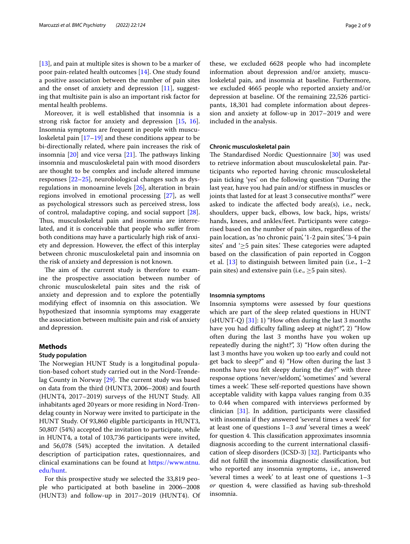[[13\]](#page-8-8), and pain at multiple sites is shown to be a marker of poor pain-related health outcomes [\[14\]](#page-8-9). One study found a positive association between the number of pain sites and the onset of anxiety and depression [[11](#page-8-6)], suggesting that multisite pain is also an important risk factor for mental health problems.

Moreover, it is well established that insomnia is a strong risk factor for anxiety and depression [[15](#page-8-10), [16](#page-8-11)]. Insomnia symptoms are frequent in people with musculoskeletal pain [[17–](#page-8-12)[19\]](#page-8-13) and these conditions appear to be bi-directionally related, where pain increases the risk of insomnia  $[20]$  $[20]$  and vice versa  $[21]$  $[21]$ . The pathways linking insomnia and musculoskeletal pain with mood disorders are thought to be complex and include altered immune responses [\[22–](#page-8-16)[25\]](#page-8-17), neurobiological changes such as dysregulations in monoamine levels [\[26](#page-8-18)], alteration in brain regions involved in emotional processing [\[27\]](#page-8-19), as well as psychological stressors such as perceived stress, loss of control, maladaptive coping, and social support [\[28](#page-8-20)]. Thus, musculoskeletal pain and insomnia are interrelated, and it is conceivable that people who sufer from both conditions may have a particularly high risk of anxiety and depression. However, the efect of this interplay between chronic musculoskeletal pain and insomnia on the risk of anxiety and depression is not known.

The aim of the current study is therefore to examine the prospective association between number of chronic musculoskeletal pain sites and the risk of anxiety and depression and to explore the potentially modifying efect of insomnia on this association. We hypothesized that insomnia symptoms may exaggerate the association between multisite pain and risk of anxiety and depression.

# **Methods**

# **Study population**

The Norwegian HUNT Study is a longitudinal population-based cohort study carried out in the Nord-Trøndelag County in Norway  $[29]$ . The current study was based on data from the third (HUNT3, 2006–2008) and fourth (HUNT4, 2017–2019) surveys of the HUNT Study. All inhabitants aged 20years or more residing in Nord-Trøndelag county in Norway were invited to participate in the HUNT Study. Of 93,860 eligible participants in HUNT3, 50,807 (54%) accepted the invitation to participate, while in HUNT4, a total of 103,736 participants were invited, and 56,078 (54%) accepted the invitation. A detailed description of participation rates, questionnaires, and clinical examinations can be found at [https://www.ntnu.](https://www.ntnu.edu/hunt) [edu/hunt.](https://www.ntnu.edu/hunt)

For this prospective study we selected the 33,819 people who participated at both baseline in 2006–2008 (HUNT3) and follow-up in 2017–2019 (HUNT4). Of these, we excluded 6628 people who had incomplete information about depression and/or anxiety, musculoskeletal pain, and insomnia at baseline. Furthermore, we excluded 4665 people who reported anxiety and/or depression at baseline. Of the remaining 22,526 participants, 18,301 had complete information about depression and anxiety at follow-up in 2017–2019 and were included in the analysis.

#### **Chronic musculoskeletal pain**

The Standardised Nordic Questionnaire [\[30\]](#page-8-22) was used to retrieve information about musculoskeletal pain. Participants who reported having chronic musculoskeletal pain ticking 'yes' on the following question "During the last year, have you had pain and/or stifness in muscles or joints that lasted for at least 3 consecutive months?" were asked to indicate the afected body area(s), i.e., neck, shoulders, upper back, elbows, low back, hips, wrists/ hands, knees, and ankles/feet. Participants were categorised based on the number of pain sites, regardless of the pain location, as 'no chronic pain', '1-2 pain sites', '3-4 pain sites' and  $\geq 5$  pain sites.' These categories were adapted based on the classifcation of pain reported in Coggon et al.  $[13]$  $[13]$  to distinguish between limited pain (i.e.,  $1-2$ pain sites) and extensive pain (i.e.,  $\geq$ 5 pain sites).

## **Insomnia symptoms**

Insomnia symptoms were assessed by four questions which are part of the sleep related questions in HUNT  $(SHUNT-Q)$  [[31](#page-8-23)]: 1) "How often during the last 3 months have you had difficulty falling asleep at night?", 2) "How often during the last 3 months have you woken up repeatedly during the night?", 3) "How often during the last 3 months have you woken up too early and could not get back to sleep?" and 4) "How often during the last 3 months have you felt sleepy during the day?" with three response options 'never/seldom', 'sometimes' and 'several times a week'. These self-reported questions have shown acceptable validity with kappa values ranging from 0.35 to 0.44 when compared with interviews performed by clinician [[31](#page-8-23)]. In addition, participants were classifed with insomnia if they answered 'several times a week' for at least one of questions 1–3 *and* 'several times a week' for question 4. This classification approximates insomnia diagnosis according to the current international classifcation of sleep disorders (ICSD-3) [\[32\]](#page-8-24). Participants who did not fulfll the insomnia diagnostic classifcation, but who reported any insomnia symptoms, i.e., answered 'several times a week' to at least one of questions 1–3 *or* question 4, were classifed as having sub-threshold insomnia.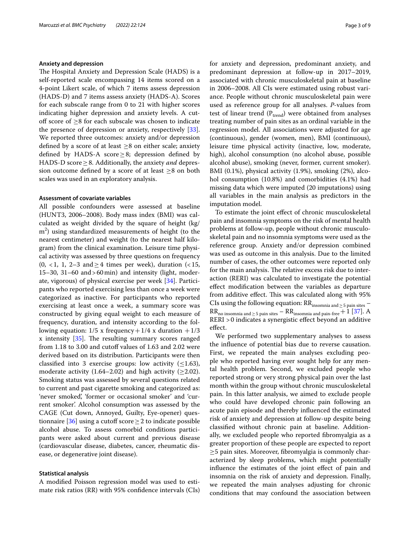# **Anxiety and depression**

The Hospital Anxiety and Depression Scale (HADS) is a self-reported scale encompassing 14 items scored on a 4-point Likert scale, of which 7 items assess depression (HADS-D) and 7 items assess anxiety (HADS-A). Scores for each subscale range from 0 to 21 with higher scores indicating higher depression and anxiety levels. A cutoff score of  $>8$  for each subscale was chosen to indicate the presence of depression or anxiety, respectively [\[33](#page-8-25)]. We reported three outcomes: anxiety and/or depression defined by a score of at least  $\geq 8$  on either scale; anxiety defined by HADS-A score  $\geq$ 8; depression defined by HADS-D score≥8. Additionally, the anxiety *and* depression outcome defned by a score of at least ≥8 on both scales was used in an exploratory analysis.

### **Assessment of covariate variables**

All possible confounders were assessed at baseline (HUNT3, 2006–2008). Body mass index (BMI) was calculated as weight divided by the square of height (kg/ m<sup>2</sup>) using standardized measurements of height (to the nearest centimeter) and weight (to the nearest half kilogram) from the clinical examination. Leisure time physical activity was assessed by three questions on frequency  $(0, <1, 1, 2-3$  and  $\geq 4$  times per week), duration  $(<15,$ 15–30, 31–60 and>60min) and intensity (light, moderate, vigorous) of physical exercise per week [[34\]](#page-8-26). Participants who reported exercising less than once a week were categorized as inactive. For participants who reported exercising at least once a week, a summary score was constructed by giving equal weight to each measure of frequency, duration, and intensity according to the following equation:  $1/5$  x frequency +  $1/4$  x duration +  $1/3$ x intensity  $[35]$ . The resulting summary scores ranged from 1.18 to 3.00 and cutoff values of 1.63 and 2.02 were derived based on its distribution. Participants were then classified into 3 exercise groups: low activity  $(\leq 1.63)$ , moderate activity (1.64–2.02) and high activity ( $\geq$ 2.02). Smoking status was assessed by several questions related to current and past cigarette smoking and categorized as: 'never smoked', 'former or occasional smoker' and 'current smoker'. Alcohol consumption was assessed by the CAGE (Cut down, Annoyed, Guilty, Eye-opener) ques-tionnaire [[36](#page-8-28)] using a cutoff score  $\geq$  2 to indicate possible alcohol abuse. To assess comorbid conditions participants were asked about current and previous disease (cardiovascular disease, diabetes, cancer, rheumatic disease, or degenerative joint disease).

## **Statistical analysis**

A modifed Poisson regression model was used to estimate risk ratios (RR) with 95% confdence intervals (CIs) for anxiety and depression, predominant anxiety, and predominant depression at follow-up in 2017–2019, associated with chronic musculoskeletal pain at baseline in 2006–2008. All CIs were estimated using robust variance. People without chronic musculoskeletal pain were used as reference group for all analyses. *P*-values from test of linear trend  $(P_{trend})$  were obtained from analyses treating number of pain sites as an ordinal variable in the regression model. All associations were adjusted for age (continuous), gender (women, men), BMI (continuous), leisure time physical activity (inactive, low, moderate, high), alcohol consumption (no alcohol abuse, possible alcohol abuse), smoking (never, former, current smoker). BMI (0.1%), physical activity (1.9%), smoking (2%), alcohol consumption (10.8%) and comorbidities (4.1%) had missing data which were imputed (20 imputations) using all variables in the main analysis as predictors in the imputation model.

To estimate the joint efect of chronic musculoskeletal pain and insomnia symptoms on the risk of mental health problems at follow-up, people without chronic musculoskeletal pain and no insomnia symptoms were used as the reference group. Anxiety and/or depression combined was used as outcome in this analysis. Due to the limited number of cases, the other outcomes were reported only for the main analysis. The relative excess risk due to interaction (RERI) was calculated to investigate the potential efect modifcation between the variables as departure from additive effect. This was calculated along with 95% CIs using the following equation:  $RR_{\text{in somnia and }\geq 5 \text{ pain sites}}$  $RR_{no}$  insomnia and > 5 pain sites  $-RR_{insomnia}$  and pain-free  $+1$  [[37\]](#page-8-29). A RERI >0 indicates a synergistic efect beyond an additive effect.

We performed two supplementary analyses to assess the infuence of potential bias due to reverse causation. First, we repeated the main analyses excluding people who reported having ever sought help for any mental health problem. Second, we excluded people who reported strong or very strong physical pain over the last month within the group without chronic musculoskeletal pain. In this latter analysis, we aimed to exclude people who could have developed chronic pain following an acute pain episode and thereby infuenced the estimated risk of anxiety and depression at follow-up despite being classifed without chronic pain at baseline. Additionally, we excluded people who reported fbromyalgia as a greater proportion of these people are expected to report ≥5 pain sites. Moreover, fbromyalgia is commonly characterized by sleep problems, which might potentially infuence the estimates of the joint efect of pain and insomnia on the risk of anxiety and depression. Finally, we repeated the main analyses adjusting for chronic conditions that may confound the association between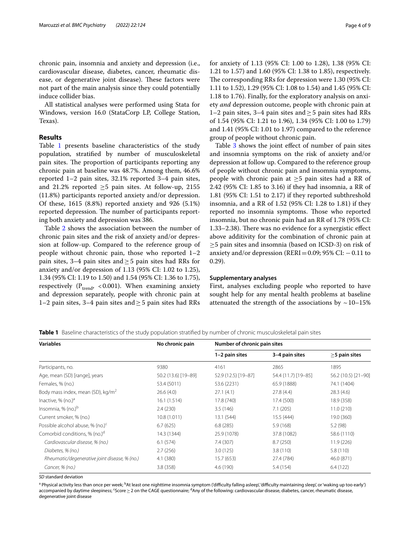chronic pain, insomnia and anxiety and depression (i.e., cardiovascular disease, diabetes, cancer, rheumatic disease, or degenerative joint disease). These factors were not part of the main analysis since they could potentially induce collider bias.

All statistical analyses were performed using Stata for Windows, version 16.0 (StataCorp LP, College Station, Texas).

# **Results**

Table [1](#page-3-0) presents baseline characteristics of the study population, stratifed by number of musculoskeletal pain sites. The proportion of participants reporting any chronic pain at baseline was 48.7%. Among them, 46.6% reported 1–2 pain sites, 32.1% reported 3–4 pain sites, and 21.2% reported  $\geq$ 5 pain sites. At follow-up, 2155 (11.8%) participants reported anxiety and/or depression. Of these, 1615 (8.8%) reported anxiety and 926 (5.1%) reported depression. The number of participants reporting both anxiety and depression was 386.

Table [2](#page-4-0) shows the association between the number of chronic pain sites and the risk of anxiety and/or depression at follow-up. Compared to the reference group of people without chronic pain, those who reported 1–2 pain sites, 3–4 pain sites and  $\geq$  5 pain sites had RRs for anxiety and/or depression of 1.13 (95% CI: 1.02 to 1.25), 1.34 (95% CI: 1.19 to 1.50) and 1.54 (95% CI: 1.36 to 1.75), respectively ( $P_{trend}$ , <0.001). When examining anxiety and depression separately, people with chronic pain at 1–2 pain sites, 3–4 pain sites and ≥ 5 pain sites had RRs for anxiety of 1.13 (95% CI: 1.00 to 1.28), 1.38 (95% CI: 1.21 to 1.57) and 1.60 (95% CI: 1.38 to 1.85), respectively. The corresponding RRs for depression were 1.30 (95% CI: 1.11 to 1.52), 1.29 (95% CI: 1.08 to 1.54) and 1.45 (95% CI: 1.18 to 1.76). Finally, for the exploratory analysis on anxiety *and* depression outcome, people with chronic pain at 1–2 pain sites, 3–4 pain sites and≥5 pain sites had RRs of 1.54 (95% CI: 1.21 to 1.96), 1.34 (95% CI: 1.00 to 1.79) and 1.41 (95% CI: 1.01 to 1.97) compared to the reference group of people without chronic pain.

Table [3](#page-5-0) shows the joint efect of number of pain sites and insomnia symptoms on the risk of anxiety and/or depression at follow up. Compared to the reference group of people without chronic pain and insomnia symptoms, people with chronic pain at  $\geq$ 5 pain sites had a RR of 2.42 (95% CI: 1.85 to 3.16) if they had insomnia, a RR of 1.81 (95% CI: 1.51 to 2.17) if they reported subthreshold insomnia, and a RR of 1.52 (95% CI: 1.28 to 1.81) if they reported no insomnia symptoms. Those who reported insomnia, but no chronic pain had an RR of 1.78 (95% CI: 1.33–2.38). There was no evidence for a synergistic effect above additivity for the combination of chronic pain at ≥5 pain sites and insomnia (based on ICSD-3) on risk of anxiety and/or depression ( $RERI = 0.09$ ; 95% CI:  $-0.11$  to 0.29).

## **Supplementary analyses**

First, analyses excluding people who reported to have sought help for any mental health problems at baseline attenuated the strength of the associations by  $\sim$  10–15%

<span id="page-3-0"></span>**Table 1** Baseline characteristics of the study population stratifed by number of chronic musculoskeletal pain sites

| <b>Variables</b>                              | No chronic pain     | Number of chronic pain sites |                     |                     |
|-----------------------------------------------|---------------------|------------------------------|---------------------|---------------------|
|                                               |                     | 1-2 pain sites               | 3-4 pain sites      | $\geq$ 5 pain sites |
| Participants, no.                             | 9380                | 4161                         | 2865                | 1895                |
| Age, mean (SD) [range], years                 | 50.2 (13.6) [19-89] | 52.9 (12.5) [19-87]          | 54.4 (11.7) [19-85] | 56.2 (10.5) [21-90] |
| Females, % (no.)                              | 53.4 (5011)         | 53.6 (2231)                  | 65.9 (1888)         | 74.1 (1404)         |
| Body mass index, mean (SD), kg/m <sup>2</sup> | 26.6(4.0)           | 27.1(4.1)                    | 27.8(4.4)           | 28.3(4.6)           |
| Inactive, $%$ (no.) $a$                       | 16.1(1.514)         | 17.8 (740)                   | 17.4 (500)          | 18.9 (358)          |
| Insomnia, $%$ (no.) $b$                       | 2.4(230)            | 3.5(146)                     | 7.1(205)            | 11.0(210)           |
| Current smoker, % (no.)                       | 10.8(1.011)         | 13.1 (544)                   | 15.5 (444)          | 19.0 (360)          |
| Possible alcohol abuse, % (no.) <sup>c</sup>  | 6.7(625)            | 6.8(285)                     | 5.9(168)            | 5.2(98)             |
| Comorbid conditions, % (no.) <sup>d</sup>     | 14.3 (1344)         | 25.9 (1078)                  | 37.8 (1082)         | 58.6 (1110)         |
| Cardiovascular disease, % (no.)               | 6.1(574)            | 7.4 (307)                    | 8.7(250)            | 11.9(226)           |
| Diabetes, % (no.)                             | 2.7(256)            | 3.0(125)                     | 3.8(110)            | 5.8 (110)           |
| Rheumatic/degenerative joint disease, % (no.) | 4.1(380)            | 15.7 (653)                   | 27.4 (784)          | 46.0 (871)          |
| Cancer, % (no.)                               | 3.8 (358)           | 4.6 (190)                    | 5.4 (154)           | 6.4(122)            |

*SD* standard deviation

<sup>a</sup> Physical activity less than once per week; <sup>b</sup>At least one nighttime insomnia symptom ('difficulty falling asleep', 'difficulty maintaining sleep', or 'waking up too early') accompanied by daytime sleepiness; <sup>c</sup>Score≥2 on the CAGE questionnaire; <sup>d</sup>Any of the following: cardiovascular disease, diabetes, cancer, rheumatic disease, degenerative joint disease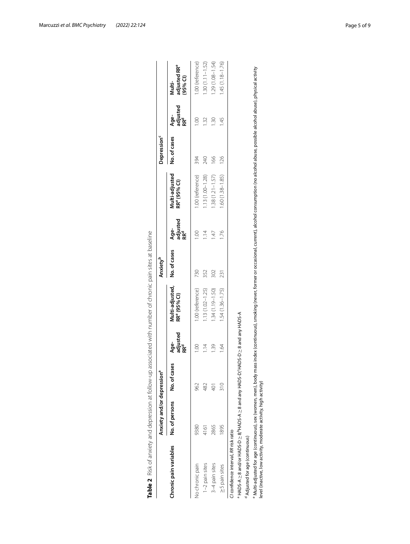<span id="page-4-0"></span>

|                                                                                                                                                                                                                                                                                             | Anxiety and/or depression <sup>a</sup> |                 |                                     |                                             | Anxiety <sup>b</sup> |                                     |                                            | Depression <sup>c</sup> |                                     |                                                  |
|---------------------------------------------------------------------------------------------------------------------------------------------------------------------------------------------------------------------------------------------------------------------------------------------|----------------------------------------|-----------------|-------------------------------------|---------------------------------------------|----------------------|-------------------------------------|--------------------------------------------|-------------------------|-------------------------------------|--------------------------------------------------|
| Chronic pain variables                                                                                                                                                                                                                                                                      | No. of persons                         | No. of cases    | adjusted<br>RR <sup>d</sup><br>Age- | Multi-adjusted,<br>RR <sup>e</sup> (95% CI) | No. of cases         | adjusted<br>RR <sup>d</sup><br>Age- | Multi-adjusted<br>RR <sup>e</sup> (95% Cl) | No. of cases            | adjusted<br>RR <sup>d</sup><br>Age- | adjusted RR <sup>e</sup><br>$(95%$ Cl)<br>Multi- |
| Vo chronic pain                                                                                                                                                                                                                                                                             | 9380                                   | 962             |                                     | 1.00 (reference)                            | 730                  |                                     | 1.00 (reference)                           | 394                     | 001                                 | 1.00 (reference)                                 |
| 1-2 pain sites                                                                                                                                                                                                                                                                              | 4161                                   | 482             | $\frac{4}{11}$                      | $1.13(1.02 - 1.25)$                         | 352                  | $\frac{4}{1}$                       | $1.13(1.00 - 1.28)$                        | 240                     | $\approx$                           | $1.30(1.11 - 1.52)$                              |
| 3-4 pain sites                                                                                                                                                                                                                                                                              | 2865                                   | 401             | 1.39                                | $1.34(1.19 - 1.50)$                         | 302                  | $\frac{47}{1}$                      | $1.38(1.21 - 1.57)$                        | 166                     | $\frac{30}{2}$                      | $.29(1.08 - 1.54)$                               |
| >5 pain sites                                                                                                                                                                                                                                                                               | 1895                                   | $\frac{8}{210}$ | j.<br>R                             | $1.54(1.36 - 1.75)$                         | 231                  | 1.76                                | $1.60(1.38 - 1.85)$                        | 126                     | 45                                  | $.45(1.18 - 1.76)$                               |
| CI confidence interval, RR risk ratio                                                                                                                                                                                                                                                       |                                        |                 |                                     |                                             |                      |                                     |                                            |                         |                                     |                                                  |
| A-SOAH Vue bur 8 ≤ G-SOAH-SOAH Vie 8 and 9 A-SOAH-SOAH is ≤ C-SOAH io 20 S-SOAH io 3 A-SOAH i                                                                                                                                                                                               |                                        |                 |                                     |                                             |                      |                                     |                                            |                         |                                     |                                                  |
| <sup>d</sup> Adjusted for age (continuous)                                                                                                                                                                                                                                                  |                                        |                 |                                     |                                             |                      |                                     |                                            |                         |                                     |                                                  |
| "Multi-adjusted for age (continuous), sex (women, men), body mass index (continuous), smoking (never, former or occasional, current), alcohol consumption (no alcohol abuse, possible alcohol abuse), physical activity<br>level (inactive, low activity, moderate activity, high activity) |                                        |                 |                                     |                                             |                      |                                     |                                            |                         |                                     |                                                  |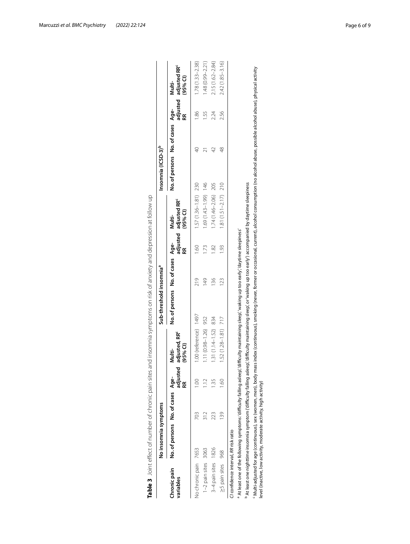<span id="page-5-0"></span>

|                                       | No insomnia symptoms                                                                                                                                                                                                                                                                              |               |                |                                                            | Sub-threshold insomnia <sup>a</sup> |               |                |                                                           | Insomnia (ICSD-3) <sup>p</sup>   |                |      |                                                           |
|---------------------------------------|---------------------------------------------------------------------------------------------------------------------------------------------------------------------------------------------------------------------------------------------------------------------------------------------------|---------------|----------------|------------------------------------------------------------|-------------------------------------|---------------|----------------|-----------------------------------------------------------|----------------------------------|----------------|------|-----------------------------------------------------------|
| Chronic pain<br>variables             | No. of persons No. of cases Age-                                                                                                                                                                                                                                                                  |               | adjusted<br>E  | adjusted, RR <sup>c</sup><br>(95% <sub>1</sub> )<br>Multi- | No. of persons No. of cases Age-    |               | Æ              | adjusted adjusted RR <sup>c</sup><br>$(95%$ CI)<br>Multi- | No. of persons No. of cases Age- |                | æ    | adjusted adjusted RR <sup>c</sup><br>$(95%$ CI)<br>Multi- |
| Vo chronic pain 7653                  |                                                                                                                                                                                                                                                                                                   | 703           | $\frac{0}{0}$  | 1.00 (reference) 1497                                      |                                     | 219           | $\frac{60}{1}$ | $1.57(1.36 - 1.81)$ 230                                   |                                  | $\overline{a}$ | 1.86 | $1.78(1.33 - 2.38)$                                       |
| 1-2 pain sites                        | 3063                                                                                                                                                                                                                                                                                              | $\frac{2}{3}$ | $\frac{2}{11}$ | 1.11 (0.98-1.26) 952                                       |                                     | $\frac{1}{4}$ | ГJ             | 1.69 (1.43-1.99) 146                                      |                                  |                | 55   | 1.48 (0.99-2.21)                                          |
| 3-4 pain sites 1826                   |                                                                                                                                                                                                                                                                                                   | 23            | 35             | $1.31(1.14 - 1.52)$ 834                                    |                                     | 136           | $\approx$      | 1.74 (1.46-2.06) 205                                      |                                  | $\overline{4}$ | 2.24 | 2.15 (1.62-2.84)                                          |
| ≥5 pain sites 968                     |                                                                                                                                                                                                                                                                                                   | 39            | $\frac{60}{5}$ | $1.52(1.28 - 1.81)$ 717                                    |                                     | 123           | $\frac{3}{2}$  | $1.81(1.51 - 2.17)$ 210                                   |                                  | 48             | 2.56 | 2.42 (1.85-3.16)                                          |
| CI confidence interval, RR risk ratio |                                                                                                                                                                                                                                                                                                   |               |                |                                                            |                                     |               |                |                                                           |                                  |                |      |                                                           |
|                                       | a At least one of the following symptoms: 'difficulty falling asleep,' difficulty maintaining sleep,' 'waking up too early,' 'daytime sleepiness'                                                                                                                                                 |               |                |                                                            |                                     |               |                |                                                           |                                  |                |      |                                                           |
|                                       | P At least one nighttime insomnia symptom ('difficulty falling asleep,' difficulty maintaining sleep', or 'waking up too early') accompanied by daytime sleepiness                                                                                                                                |               |                |                                                            |                                     |               |                |                                                           |                                  |                |      |                                                           |
|                                       | Wulti-adjusted for age (continuous), sex (women, men), body mass index (continuous), smoking (never, former or occasional, current), alcohol consumption (no alcohol abuse, possible alcohol abuse), physical activity ، والم<br>level (inactive, low activity, moderate activity, high activity) |               |                |                                                            |                                     |               |                |                                                           |                                  |                |      |                                                           |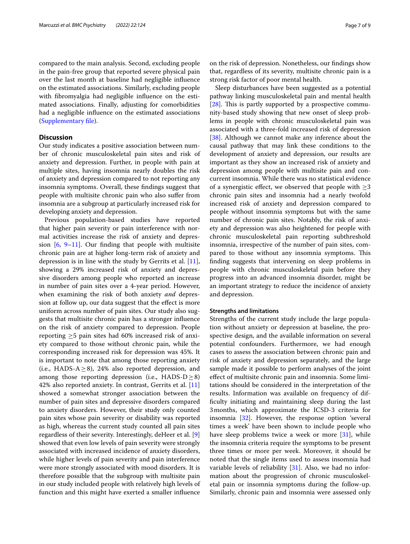compared to the main analysis. Second, excluding people in the pain-free group that reported severe physical pain over the last month at baseline had negligible infuence on the estimated associations. Similarly, excluding people with fbromyalgia had negligible infuence on the estimated associations. Finally, adjusting for comorbidities had a negligible infuence on the estimated associations ([Supplementary fle\)](#page-7-1).

# **Discussion**

Our study indicates a positive association between number of chronic musculoskeletal pain sites and risk of anxiety and depression. Further, in people with pain at multiple sites, having insomnia nearly doubles the risk of anxiety and depression compared to not reporting any insomnia symptoms. Overall, these fndings suggest that people with multisite chronic pain who also sufer from insomnia are a subgroup at particularly increased risk for developing anxiety and depression.

Previous population-based studies have reported that higher pain severity or pain interference with normal activities increase the risk of anxiety and depression  $[6, 9-11]$  $[6, 9-11]$  $[6, 9-11]$  $[6, 9-11]$ . Our finding that people with multisite chronic pain are at higher long-term risk of anxiety and depression is in line with the study by Gerrits et al. [\[11](#page-8-6)], showing a 29% increased risk of anxiety and depressive disorders among people who reported an increase in number of pain sites over a 4-year period. However, when examining the risk of both anxiety *and* depression at follow up, our data suggest that the effect is more uniform across number of pain sites. Our study also suggests that multisite chronic pain has a stronger infuence on the risk of anxiety compared to depression. People reporting  $\geq$ 5 pain sites had 60% increased risk of anxiety compared to those without chronic pain, while the corresponding increased risk for depression was 45%. It is important to note that among those reporting anxiety (i.e., HADS- $A \ge 8$ ), 24% also reported depression, and among those reporting depression (i.e.,  $HADS-D \ge 8$ ) 42% also reported anxiety. In contrast, Gerrits et al. [[11](#page-8-6)] showed a somewhat stronger association between the number of pain sites and depressive disorders compared to anxiety disorders. However, their study only counted pain sites whose pain severity or disability was reported as high, whereas the current study counted all pain sites regardless of their severity. Interestingly, deHeer et al. [\[9](#page-8-5)] showed that even low levels of pain severity were strongly associated with increased incidence of anxiety disorders, while higher levels of pain severity and pain interference were more strongly associated with mood disorders. It is therefore possible that the subgroup with multisite pain in our study included people with relatively high levels of function and this might have exerted a smaller infuence on the risk of depression. Nonetheless, our fndings show that, regardless of its severity, multisite chronic pain is a strong risk factor of poor mental health.

Sleep disturbances have been suggested as a potential pathway linking musculoskeletal pain and mental health  $[28]$  $[28]$ . This is partly supported by a prospective community-based study showing that new onset of sleep problems in people with chronic musculoskeletal pain was associated with a three-fold increased risk of depression [[38\]](#page-8-31). Although we cannot make any inference about the causal pathway that may link these conditions to the development of anxiety and depression, our results are important as they show an increased risk of anxiety and depression among people with multisite pain and concurrent insomnia. While there was no statistical evidence of a synergistic effect, we observed that people with  $\geq$ 3 chronic pain sites and insomnia had a nearly twofold increased risk of anxiety and depression compared to people without insomnia symptoms but with the same number of chronic pain sites. Notably, the risk of anxiety and depression was also heightened for people with chronic musculoskeletal pain reporting subthreshold insomnia, irrespective of the number of pain sites, compared to those without any insomnia symptoms. This fnding suggests that intervening on sleep problems in people with chronic musculoskeletal pain before they progress into an advanced insomnia disorder, might be an important strategy to reduce the incidence of anxiety and depression.

## **Strengths and limitations**

Strengths of the current study include the large population without anxiety or depression at baseline, the prospective design, and the available information on several potential confounders. Furthermore, we had enough cases to assess the association between chronic pain and risk of anxiety and depression separately, and the large sample made it possible to perform analyses of the joint efect of multisite chronic pain and insomnia. Some limitations should be considered in the interpretation of the results. Information was available on frequency of diffculty initiating and maintaining sleep during the last 3months, which approximate the ICSD-3 criteria for insomnia [\[32](#page-8-24)]. However, the response option 'several times a week' have been shown to include people who have sleep problems twice a week or more [\[31\]](#page-8-23), while the insomnia criteria require the symptoms to be present three times or more per week. Moreover, it should be noted that the single items used to assess insomnia had variable levels of reliability [[31\]](#page-8-23). Also, we had no information about the progression of chronic musculoskeletal pain or insomnia symptoms during the follow-up. Similarly, chronic pain and insomnia were assessed only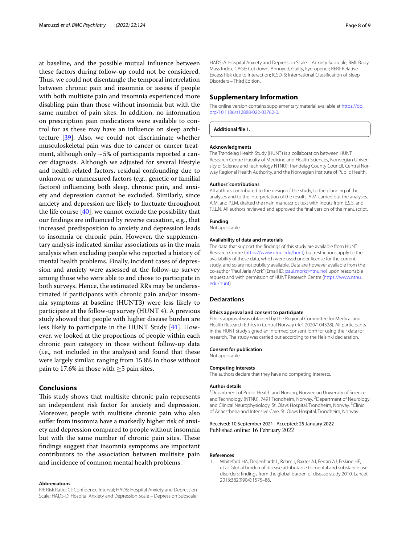at baseline, and the possible mutual infuence between these factors during follow-up could not be considered. Thus, we could not disentangle the temporal interrelation between chronic pain and insomnia or assess if people with both multisite pain and insomnia experienced more disabling pain than those without insomnia but with the same number of pain sites. In addition, no information on prescription pain medications were available to control for as these may have an infuence on sleep architecture [[39](#page-8-32)]. Also, we could not discriminate whether musculoskeletal pain was due to cancer or cancer treatment, although only  $\sim$  5% of participants reported a cancer diagnosis. Although we adjusted for several lifestyle and health-related factors, residual confounding due to unknown or unmeasured factors (e.g., genetic or familial factors) infuencing both sleep, chronic pain, and anxiety and depression cannot be excluded. Similarly, since anxiety and depression are likely to fuctuate throughout the life course [\[40](#page-8-33)], we cannot exclude the possibility that our fndings are infuenced by reverse causation, e.g., that increased predisposition to anxiety and depression leads to insomnia or chronic pain. However, the supplementary analysis indicated similar associations as in the main analysis when excluding people who reported a history of mental health problems. Finally, incident cases of depression and anxiety were assessed at the follow-up survey among those who were able to and chose to participate in both surveys. Hence, the estimated RRs may be underestimated if participants with chronic pain and/or insomnia symptoms at baseline (HUNT3) were less likely to participate at the follow-up survey (HUNT 4). A previous study showed that people with higher disease burden are less likely to participate in the HUNT Study [[41\]](#page-8-34). However, we looked at the proportions of people within each chronic pain category in those without follow-up data (i.e., not included in the analysis) and found that these were largely similar, ranging from 15.8% in those without pain to 17.6% in those with  $\geq$ 5 pain sites.

# **Conclusions**

This study shows that multisite chronic pain represents an independent risk factor for anxiety and depression. Moreover, people with multisite chronic pain who also sufer from insomnia have a markedly higher risk of anxiety and depression compared to people without insomnia but with the same number of chronic pain sites. These fndings suggest that insomnia symptoms are important contributors to the association between multisite pain and incidence of common mental health problems.

#### **Abbreviations**

RR: Risk Ratio; CI: Confdence Interval; HADS: Hospital Anxiety and Depression Scale; HADS-D: Hospital Anxiety and Depression Scale – Depression Subscale; HADS-A: Hospital Anxiety and Depression Scale – Anxiety Subscale; BMI: Body Mass Index; CAGE: Cut down, Annoyed, Guilty, Eye-opener; RERI: Relative Excess Risk due to Interaction; ICSD-3: International Classifcation of Sleep Disorders – Third Edition.

## **Supplementary Information**

The online version contains supplementary material available at [https://doi.](https://doi.org/10.1186/s12888-022-03762-0) [org/10.1186/s12888-022-03762-0](https://doi.org/10.1186/s12888-022-03762-0).

<span id="page-7-1"></span>**Additional fle 1.**

#### **Acknowledgments**

The Trøndelag Health Study (HUNT) is a collaboration between HUNT Research Centre (Faculty of Medicine and Health Sciences, Norwegian University of Science and Technology NTNU), Trøndelag County Council, Central Norway Regional Health Authority, and the Norwegian Institute of Public Health.

#### **Authors' contributions**

All authors contributed to the design of the study, to the planning of the analyses and to the interpretation of the results. A.M. carried out the analyses. A.M. and P.J.M. drafted the main manuscript text with inputs from E.S.S. and T.I.L.N. All authors reviewed and approved the fnal version of the manuscript.

# **Funding**

Not applicable.

#### **Availability of data and materials**

The data that support the fndings of this study are available from HUNT Research Centre ([https://www.ntnu.edu/hunt\)](https://www.ntnu.edu/hunt) but restrictions apply to the availability of these data, which were used under license for the current study, and so are not publicly available. Data are however available from the co-author "Paul Jarle Mork" (Email ID: [paul.mork@ntnu.no\)](paul.mork@ntnu.no) upon reasonable request and with permission of HUNT Research Centre ([https://www.ntnu.](https://www.ntnu.edu/hunt) [edu/hunt](https://www.ntnu.edu/hunt)).

#### **Declarations**

#### **Ethics approval and consent to participate**

Ethics approval was obtained by the Regional Committee for Medical and Health Research Ethics in Central Norway (Ref. 2020/104328). All participants in the HUNT study signed an informed consent form for using their data for research. The study was carried out according to the Helsinki declaration.

#### **Consent for publication**

Not applicable.

#### **Competing interests**

The authors declare that they have no competing interests.

#### **Author details**

<sup>1</sup> Department of Public Health and Nursing, Norwegian University of Science and Technology (NTNU), 7491 Trondheim, Norway.<sup>2</sup> Department of Neurology and Clinical Neurophysiology, St. Olavs Hospital, Trondheim, Norway. <sup>3</sup>Clinic of Anaesthesia and Intensive Care, St. Olavs Hospital, Trondheim, Norway.

#### Received: 10 September 2021 Accepted: 25 January 2022 Published online: 16 February 2022

#### **References**

<span id="page-7-0"></span>1. Whiteford HA, Degenhardt L, Rehm J, Baxter AJ, Ferrari AJ, Erskine HE, et al. Global burden of disease attributable to mental and substance use disorders: fndings from the global burden of disease study 2010. Lancet. 2013;382(9904):1575–86.